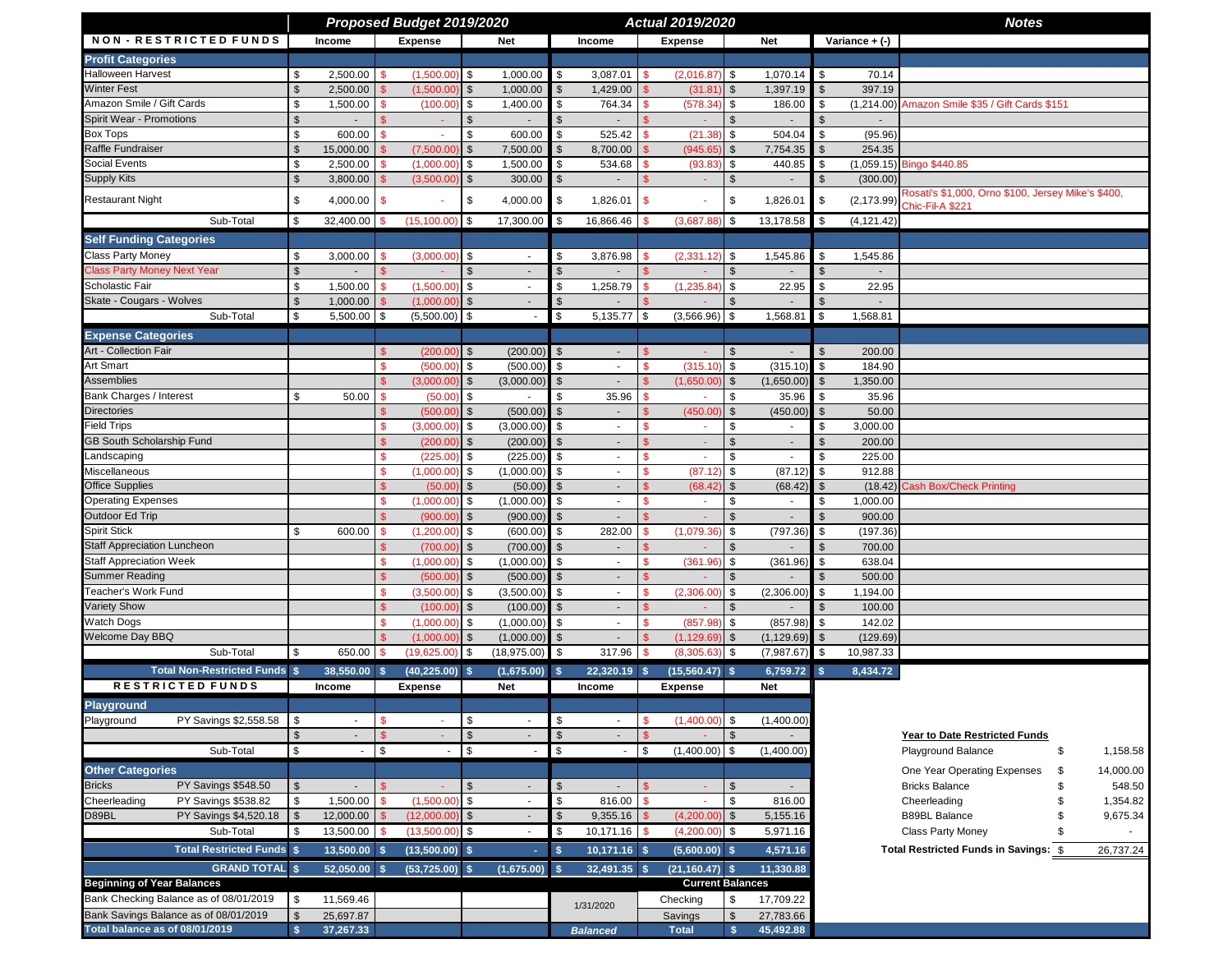|                                        |                         |                |                    | Proposed Budget 2019/2020 |                         |                          |                |                          |              | Actual 2019/2020        |                         |                          |               |                    | <b>Notes</b>                                                                      |    |           |
|----------------------------------------|-------------------------|----------------|--------------------|---------------------------|-------------------------|--------------------------|----------------|--------------------------|--------------|-------------------------|-------------------------|--------------------------|---------------|--------------------|-----------------------------------------------------------------------------------|----|-----------|
| <b>NON - RESTRICTED FUNDS</b>          |                         | Income         |                    | <b>Expense</b>            |                         | <b>Net</b>               |                | Income                   |              | <b>Expense</b>          |                         | Net                      |               | Variance $+$ $(-)$ |                                                                                   |    |           |
| <b>Profit Categories</b>               |                         |                |                    |                           |                         |                          |                |                          |              |                         |                         |                          |               |                    |                                                                                   |    |           |
| <b>Halloween Harvest</b>               | \$                      | 2,500.00       | -\$                | (1,500.00)                | \$                      | 1,000.00                 | \$             | 3,087.01                 |              | (2,016.87)              | \$                      | 1,070.14                 | \$            | 70.14              |                                                                                   |    |           |
| <b>Winter Fest</b>                     | $\mathfrak{s}$          | 2,500.00       | $\mathbb{S}$       | (1,500.00)                | $\mathfrak{S}$          | 1,000.00                 | $\mathfrak{s}$ | 1,429.00                 |              | (31.81)                 | $\frac{3}{2}$           | 1,397.19                 | \$            | 397.19             |                                                                                   |    |           |
| Amazon Smile / Gift Cards              | \$                      | 1,500.00       | <b>S</b>           | (100.00)                  | \$                      | 1,400.00                 | \$             | 764.34                   | \$.          | (578.34)                | \$                      | 186.00                   | \$            |                    | (1,214.00) Amazon Smile \$35 / Gift Cards \$151                                   |    |           |
| <b>Spirit Wear - Promotions</b>        | $\frac{1}{2}$           |                |                    | $\sim$                    | $\mathcal{S}$           |                          | $\sqrt[6]{2}$  |                          |              |                         | $\sqrt[6]{\frac{1}{2}}$ |                          | \$            |                    |                                                                                   |    |           |
| <b>Box Tops</b>                        | \$                      | 600.00         |                    |                           | \$                      | 600.00                   | \$             | 525.42                   |              | (21.38)                 | \$                      | 504.04                   | \$            | (95.96)            |                                                                                   |    |           |
| Raffle Fundraiser                      | $\mathbb{S}$            | 15,000.00      |                    | (7,500.00)                | $\sqrt[6]{\frac{1}{2}}$ | 7,500.00                 | $\sqrt[6]{2}$  | 8,700.00                 |              | (945.65)                | $\frac{1}{2}$           | 7,754.35                 | \$            | 254.35             |                                                                                   |    |           |
| Social Events                          | \$                      | 2,500.00       | -S                 | (1,000.00)                | \$                      | 1,500.00                 | \$             | 534.68                   |              | (93.83)                 | \$                      | 440.85                   | \$            |                    | (1,059.15) Bingo \$440.85                                                         |    |           |
| <b>Supply Kits</b>                     | $\mathfrak{S}$          | 3,800.00       |                    | (3,500.00)                | \$                      | 300.00                   | $\mathbb{S}$   |                          |              |                         | $\mathfrak{S}$          |                          | $\mathbb{S}$  | (300.00)           |                                                                                   |    |           |
| <b>Restaurant Night</b>                | \$                      | 4,000.00       | -\$                |                           | \$                      | 4,000.00                 | $\blacksquare$ | 1,826.01                 | \$           |                         | \$                      | 1,826.01                 | \$            |                    | Rosati's \$1,000, Orno \$100, Jersey Mike's \$400,<br>(2,173.99) Chic-Fil-A \$221 |    |           |
| Sub-Total                              | \$                      | 32,400.00      | $\mathbf{\hat{s}}$ | (15, 100.00)              | $\sqrt{3}$              | 17,300.00                | l \$           | 16,866.46                | -\$          | (3,687.88)              | \$                      | 13,178.58                | \$            | (4, 121.42)        |                                                                                   |    |           |
| <b>Self Funding Categories</b>         |                         |                |                    |                           |                         |                          |                |                          |              |                         |                         |                          |               |                    |                                                                                   |    |           |
| <b>Class Party Money</b>               | \$                      | 3,000.00       | -\$                | (3,000.00)                | \$                      | $\sim$                   | \$             | 3,876.98                 |              | (2,331.12)              | \$                      | 1,545.86                 | \$            | 1,545.86           |                                                                                   |    |           |
| <b>Class Party Money Next Year</b>     | $\sqrt[6]{\frac{1}{2}}$ |                |                    |                           | $\mathbb{S}$            | $\sim$                   | $$\mathbb{S}$$ |                          |              |                         | $\sqrt[6]{\frac{1}{2}}$ |                          | \$            |                    |                                                                                   |    |           |
| Scholastic Fair                        | \$                      | 1,500.00       | -\$                | (1,500.00)                | \$                      | $\sim$                   | \$             | 1,258.79                 | \$.          | (1, 235.84)             | \$                      | 22.95                    | \$            | 22.95              |                                                                                   |    |           |
| Skate - Cougars - Wolves               | $\mathfrak{S}$          | 1,000.00       |                    | (1,000.00)                | $\mathfrak{L}$          |                          | \$             |                          |              |                         | $\mathcal{S}$           |                          |               |                    |                                                                                   |    |           |
| Sub-Total                              | \$                      | 5,500.00       | l \$               | (5,500.00)                | \$                      | $\overline{\phantom{a}}$ | \$             | $5,135.77$ \$            |              | (3,566.96)              | \$                      | 1,568.81                 | \$            | 1,568.81           |                                                                                   |    |           |
| <b>Expense Categories</b>              |                         |                |                    |                           |                         |                          |                |                          |              |                         |                         |                          |               |                    |                                                                                   |    |           |
| Art - Collection Fair                  |                         |                |                    | (200.00)                  | $\mathfrak{S}$          | $(200.00)$ \$            |                | $\sim$                   | \$.          |                         | $\sqrt[6]{3}$           | $\overline{\phantom{a}}$ | \$            | 200.00             |                                                                                   |    |           |
| Art Smart                              |                         |                | \$                 | (500.00)                  | \$                      | (500.00)                 | $\mathcal{S}$  | $\sim$                   | <b>S</b>     | (315.10)                | \$                      | (315.10)                 | \$            | 184.90             |                                                                                   |    |           |
| <b>Assemblies</b>                      |                         |                | \$                 | (3,000.00)                | $\sqrt[6]{2}$           | (3,000.00)               | $\sqrt[6]{3}$  | $\sim$                   | $\mathbf{s}$ | (1,650.00)              | $\sqrt[6]{\frac{1}{2}}$ | (1,650.00)               | $\frac{1}{2}$ | 1,350.00           |                                                                                   |    |           |
| Bank Charges / Interest                | \$                      | 50.00          | \$                 | (50.00)                   | \$                      |                          | \$             | 35.96                    |              |                         | \$                      | 35.96                    | \$            | 35.96              |                                                                                   |    |           |
| <b>Directories</b>                     |                         |                |                    | (500.00)                  | $\mathfrak{S}$          | (500.00)                 | $$\mathbb{S}$$ | $\overline{\phantom{a}}$ |              | (450.00)                | $\sqrt[6]{\frac{1}{2}}$ | (450.00)                 | $\mathbb{S}$  | 50.00              |                                                                                   |    |           |
| Field Trips                            |                         |                | \$.                | (3,000.00)                | \$                      | (3,000.00)               | \$             | $\blacksquare$           | \$.          | ×                       | \$                      | $\blacksquare$           | \$            | 3,000.00           |                                                                                   |    |           |
| <b>GB South Scholarship Fund</b>       |                         |                |                    | (200.00)                  | $\mathfrak{S}$          | (200.00)                 | $\mathfrak{s}$ | $\blacksquare$           |              | $\sim$                  | $\mathcal{S}$           | $\sim$                   | $\mathbb{S}$  | 200.00             |                                                                                   |    |           |
| Landscaping                            |                         |                |                    | (225.00)                  | \$                      | (225.00)                 | \$             | $\overline{\phantom{a}}$ |              |                         | \$                      |                          | \$            | 225.00             |                                                                                   |    |           |
| Miscellaneous                          |                         |                | S                  | (1,000.00)                | \$                      | (1,000.00)               | $\sqrt{3}$     | $\overline{\phantom{a}}$ | S            | (87.12)                 | \$                      | (87.12)                  | \$            | 912.88             |                                                                                   |    |           |
| <b>Office Supplies</b>                 |                         |                |                    | (50.00)                   | $\mathfrak{S}$          | (50.00)                  | $\mathfrak{s}$ | $\sim$                   |              | (68.42)                 | $\frac{1}{2}$           | (68.42)                  | $\mathbb{S}$  | (18.42)            | <b>Cash Box/Check Printing</b>                                                    |    |           |
| <b>Operating Expenses</b>              |                         |                | \$.                | (1,000.00)                | \$                      | (1,000.00)               | \$             | $\sim$                   | \$.          | ÷.                      | \$                      | $\sim$                   | \$            | 1,000.00           |                                                                                   |    |           |
| Outdoor Ed Trip                        |                         |                |                    | (900.00)                  | $\mathfrak{S}$          | (900.00)                 | \$             |                          |              |                         | $\mathbb{S}$            |                          | $\mathbb{S}$  | 900.00             |                                                                                   |    |           |
| <b>Spirit Stick</b>                    | \$                      | 600.00         | <b>S</b>           | (1,200.00)                | \$                      | (600.00)                 | \$             | 282.00                   |              | (1,079.36)              | \$                      | (797.36)                 | \$            | (197.36)           |                                                                                   |    |           |
| <b>Staff Appreciation Luncheon</b>     |                         |                |                    | (700.00)                  | $\sqrt[6]{3}$           | (700.00)                 | $\sqrt{3}$     | $\sim$                   |              |                         | $\sqrt[6]{\frac{1}{2}}$ |                          | \$            | 700.00             |                                                                                   |    |           |
| <b>Staff Appreciation Week</b>         |                         |                | <b>S</b>           | (1,000.00)                | \$                      | (1,000.00)               | $\sqrt{3}$     | $\sim$                   | \$.          | (361.96)                | \$                      | (361.96)                 | \$            | 638.04             |                                                                                   |    |           |
| Summer Reading                         |                         |                |                    | (500.00)                  | $\sqrt[6]{3}$           | (500.00)                 | $\sqrt{3}$     | $\blacksquare$           |              |                         | $\sqrt[6]{\frac{1}{2}}$ |                          | $\frac{1}{2}$ | 500.00             |                                                                                   |    |           |
| Teacher's Work Fund                    |                         |                | \$                 | (3,500.00)                | \$                      | (3,500.00)               | \$             | $\blacksquare$           |              | (2,306.00)              | \$                      | (2,306.00)               | \$            | 1,194.00           |                                                                                   |    |           |
| Variety Show                           |                         |                |                    | (100.00)                  | \$                      | (100.00)                 | $\sqrt{3}$     | $\blacksquare$           |              |                         | $\sqrt[6]{\frac{1}{2}}$ |                          | \$            | 100.00             |                                                                                   |    |           |
| Watch Dogs                             |                         |                | -S                 | (1,000.00)                | \$                      | (1,000.00)               | $\sqrt{3}$     | $\sim$                   | S            | (857.98)                | \$                      | (857.98)                 | \$            | 142.02             |                                                                                   |    |           |
| Welcome Day BBQ                        |                         |                |                    | (1,000.00)                | $\mathbb{S}$            | (1,000.00)               | \$             |                          |              | (1, 129.69)             | $\mathcal{S}$           | (1, 129.69)              | \$            | (129.69)           |                                                                                   |    |           |
| Sub-Total                              | \$                      | 650.00         | \$                 | (19,625.00)               | \$                      | (18,975.00)              | \$             | 317.96                   |              | (8,305.63)              | \$                      | (7,987.67)               | \$            | 10,987.33          |                                                                                   |    |           |
| <b>Total Non-Restricted Funds \$</b>   |                         | 38,550.00 \$   |                    | $(40, 225.00)$ \$         |                         | $(1,675.00)$ \$          |                | 22,320.19 \$             |              | $(15.560.47)$ \$        |                         | 6,759.72 \$              |               | 8,434.72           |                                                                                   |    |           |
| RESTRICTED FUNDS                       |                         | Income         |                    | <b>Expense</b>            |                         | <b>Net</b>               |                | Income                   |              | <b>Expense</b>          |                         | <b>Net</b>               |               |                    |                                                                                   |    |           |
| Playground                             |                         |                |                    |                           |                         |                          |                |                          |              |                         |                         |                          |               |                    |                                                                                   |    |           |
| Playground<br>PY Savings \$2,558.58    | \$                      | $\blacksquare$ | -\$                | $\sim$                    | \$                      | $\overline{\phantom{a}}$ | \$             | $\blacksquare$           | \$           | $(1,400.00)$ \$         |                         | (1,400.00)               |               |                    |                                                                                   |    |           |
|                                        | $\mathfrak{S}$          |                | $\mathbf{\hat{s}}$ |                           | $\sqrt[6]{3}$           |                          | $\sqrt[6]{2}$  |                          |              |                         | $\mathbb{S}$            |                          |               |                    | <b>Year to Date Restricted Funds</b>                                              |    |           |
| Sub-Total                              | \$                      | $\blacksquare$ | \$                 | $\sim$                    | \$                      | $\overline{\phantom{a}}$ | $\sqrt{3}$     | $-1$ \$                  |              | $(1,400.00)$ \$         |                         | (1,400.00)               |               |                    | Playground Balance                                                                | \$ | 1,158.58  |
|                                        |                         |                |                    |                           |                         |                          |                |                          |              |                         |                         |                          |               |                    |                                                                                   |    |           |
| <b>Other Categories</b>                |                         |                |                    |                           |                         |                          |                |                          |              |                         |                         |                          |               |                    | One Year Operating Expenses                                                       | \$ | 14,000.00 |
| <b>Bricks</b><br>PY Savings \$548.50   | $\mathbb{S}$            | $\sim$         |                    | $\sim$                    | $\mathbb{S}$            | $\sim$                   | $\mathbb{S}$   | $\sim$                   |              | $\bullet$               | $\mathfrak{S}$          | $\sim$                   |               |                    | <b>Bricks Balance</b>                                                             | \$ | 548.50    |
| PY Savings \$538.82<br>Cheerleading    | \$                      | 1,500.00       | \$                 | (1,500.00)                | \$                      | $\blacksquare$           | \$             | 816.00                   | \$           | ×                       | \$                      | 816.00                   |               |                    | Cheerleading                                                                      | \$ | 1,354.82  |
| D89BL<br>PY Savings \$4,520.18         | $\mathsf{\$}$           | 12,000.00      |                    | (12,000.00)               | \$                      | $\blacksquare$           | $\mathbb{S}$   | 9,355.16                 |              | (4,200.00)              | $\mathcal{S}$           | 5,155.16                 |               |                    | <b>B89BL Balance</b>                                                              |    | 9,675.34  |
| Sub-Total                              | \$                      | 13,500.00      |                    | (13,500.00)               | $\sqrt{3}$              | $\blacksquare$           | \$             | $10,171.16$ \$           |              | (4,200.00)              | \$                      | 5,971.16                 |               |                    | Class Party Money                                                                 | S  |           |
| <b>Total Restricted Funds \$</b>       |                         | 13,500.00 \$   |                    | $(13,500.00)$ \$          |                         | ٠                        | $\sqrt{3}$     | $10,171.16$ \$           |              | $(5,600.00)$ \$         |                         | 4,571.16                 |               |                    | Total Restricted Funds in Savings: \$                                             |    | 26,737.24 |
| <b>GRAND TOTAL \$</b>                  |                         | 52,050.00 \$   |                    | $(53,725.00)$ \$          |                         | $(1,675.00)$ \$          |                | 32,491.35 \$             |              | $(21, 160.47)$ \$       |                         | 11,330.88                |               |                    |                                                                                   |    |           |
| <b>Beginning of Year Balances</b>      |                         |                |                    |                           |                         |                          |                |                          |              | <b>Current Balances</b> |                         |                          |               |                    |                                                                                   |    |           |
| Bank Checking Balance as of 08/01/2019 | \$                      | 11,569.46      |                    |                           |                         |                          |                |                          |              | Checking                | \$                      | 17,709.22                |               |                    |                                                                                   |    |           |
| Bank Savings Balance as of 08/01/2019  | $\mathfrak{S}$          | 25,697.87      |                    |                           |                         |                          |                | 1/31/2020                |              | Savings                 | $\mathcal{S}$           | 27,783.66                |               |                    |                                                                                   |    |           |
| Total balance as of 08/01/2019         | <b>S</b>                | 37,267.33      |                    |                           |                         |                          |                | <b>Balanced</b>          |              | <b>Total</b>            | <b>S</b>                | 45,492.88                |               |                    |                                                                                   |    |           |